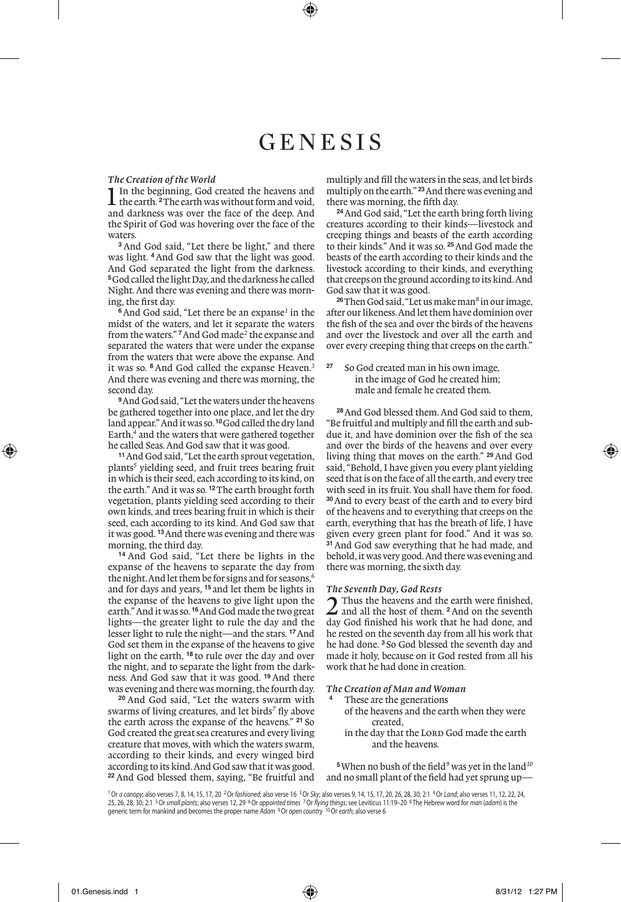# GENESIS

### *The Creation of the World*

**1** In the beginning, God created the heavens and the earth.<sup>2</sup>The earth was without form and void, and darkness was over the face of the deep. And the Spirit of God was hovering over the face of the waters.

**<sup>3</sup>** And God said, "Let there be light," and there was light. <sup>4</sup> And God saw that the light was good. And God separated the light from the darkness. **<sup>5</sup>**God called the light Day, and the darkness he called Night. And there was evening and there was morning, the first day.

**<sup>6</sup>**And God said, "Let there be an expanse*<sup>1</sup>* in the midst of the waters, and let it separate the waters from the waters." **<sup>7</sup>**And God made*<sup>2</sup>* the expanse and separated the waters that were under the expanse from the waters that were above the expanse. And it was so. **<sup>8</sup>** And God called the expanse Heaven.*<sup>3</sup>* And there was evening and there was morning, the second day.

**<sup>9</sup>**And God said, "Let the waters under the heavens be gathered together into one place, and let the dry land appear." And it was so. **<sup>10</sup>**God called the dry land Earth,*<sup>4</sup>* and the waters that were gathered together he called Seas. And God saw that it was good.

**<sup>11</sup>**And God said, "Let the earth sprout vegetation, plants*<sup>5</sup>* yielding seed, and fruit trees bearing fruit in which is their seed, each according to its kind, on the earth." And it was so. **<sup>12</sup>**The earth brought forth vegetation, plants yielding seed according to their own kinds, and trees bearing fruit in which is their seed, each according to its kind. And God saw that it was good. **<sup>13</sup>**And there was evening and there was morning, the third day.

**<sup>14</sup>** And God said, "Let there be lights in the expanse of the heavens to separate the day from the night. And let them be for signs and for seasons,*<sup>6</sup>* and for days and years, **<sup>15</sup>** and let them be lights in the expanse of the heavens to give light upon the earth." And it was so. **<sup>16</sup>**And God made the two great lights—the greater light to rule the day and the lesser light to rule the night—and the stars. **<sup>17</sup>**And God set them in the expanse of the heavens to give light on the earth, **<sup>18</sup>** to rule over the day and over the night, and to separate the light from the darkness. And God saw that it was good. **<sup>19</sup>** And there was evening and there was morning, the fourth day.

**<sup>20</sup>** And God said, "Let the waters swarm with swarms of living creatures, and let birds*<sup>7</sup>* fly above the earth across the expanse of the heavens." **<sup>21</sup>** So God created the great sea creatures and every living creature that moves, with which the waters swarm, according to their kinds, and every winged bird according to its kind. And God saw that it was good. **<sup>22</sup>** And God blessed them, saying, "Be fruitful and multiply and fill the waters in the seas, and let birds multiply on the earth." **<sup>23</sup>**And there was evening and there was morning, the fifth day.

**<sup>24</sup>**And God said, "Let the earth bring forth living creatures according to their kinds—livestock and creeping things and beasts of the earth according to their kinds." And it was so. **<sup>25</sup>**And God made the beasts of the earth according to their kinds and the livestock according to their kinds, and everything that creeps on the ground according to its kind. And God saw that it was good.

**<sup>26</sup>**Then God said, "Let us make man*<sup>8</sup>* in our image, after our likeness. And let them have dominion over the fish of the sea and over the birds of the heavens and over the livestock and over all the earth and over every creeping thing that creeps on the earth."

**<sup>27</sup>** So God created man in his own image, in the image of God he created him; male and female he created them.

**<sup>28</sup>**And God blessed them. And God said to them, "Be fruitful and multiply and fill the earth and subdue it, and have dominion over the fish of the sea and over the birds of the heavens and over every living thing that moves on the earth." **<sup>29</sup>**And God said, "Behold, I have given you every plant yielding seed that is on the face of all the earth, and every tree with seed in its fruit. You shall have them for food. **<sup>30</sup>**And to every beast of the earth and to every bird of the heavens and to everything that creeps on the earth, everything that has the breath of life, I have given every green plant for food." And it was so. <sup>31</sup> And God saw everything that he had made, and behold, it was very good. And there was evening and there was morning, the sixth day.

### *The Seventh Day, God Rests*

Thus the heavens and the earth were finished. and all the host of them. **<sup>2</sup>**And on the seventh day God finished his work that he had done, and he rested on the seventh day from all his work that he had done. **<sup>3</sup>** So God blessed the seventh day and made it holy, because on it God rested from all his work that he had done in creation.

### *The Creation of Man and Woman*

- **<sup>4</sup>** These are the generations
	- of the heavens and the earth when they were created,
	- in the day that the LORD God made the earth and the heavens.

**<sup>5</sup>**When no bush of the field*<sup>9</sup>* was yet in the land*<sup>10</sup>* and no small plant of the field had yet sprung up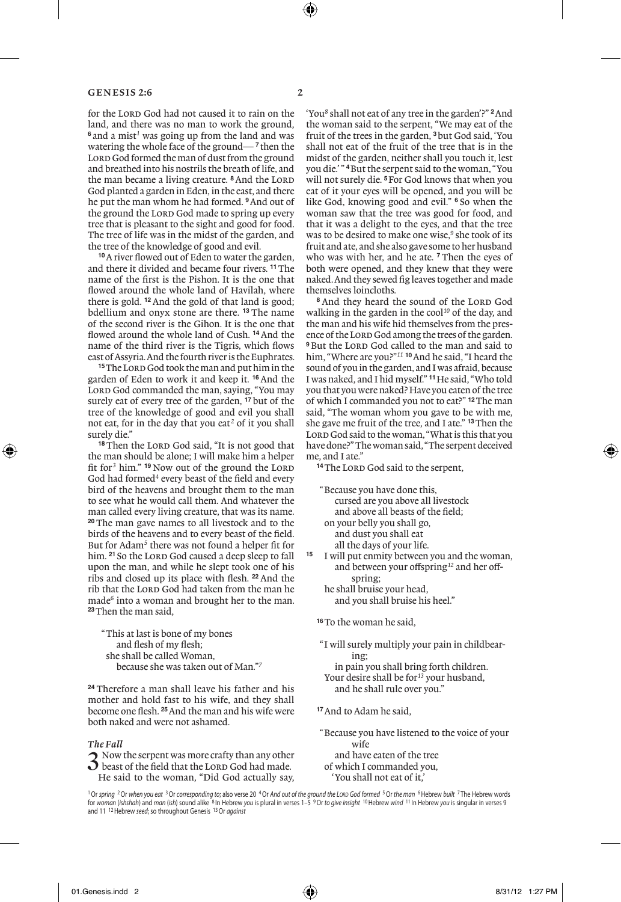for the LORD God had not caused it to rain on the land, and there was no man to work the ground, **<sup>6</sup>** and a mist*<sup>1</sup>* was going up from the land and was watering the whole face of the ground— **<sup>7</sup>** then the LORD God formed the man of dust from the ground and breathed into his nostrils the breath of life, and the man became a living creature. <sup>8</sup> And the LORD God planted a garden in Eden, in the east, and there he put the man whom he had formed. **<sup>9</sup>**And out of the ground the LORD God made to spring up every tree that is pleasant to the sight and good for food. The tree of life was in the midst of the garden, and the tree of the knowledge of good and evil.

**<sup>10</sup>**A river flowed out of Eden to water the garden, and there it divided and became four rivers. **<sup>11</sup>**The name of the first is the Pishon. It is the one that flowed around the whole land of Havilah, where there is gold. **<sup>12</sup>**And the gold of that land is good; bdellium and onyx stone are there. **<sup>13</sup>** The name of the second river is the Gihon. It is the one that flowed around the whole land of Cush. **<sup>14</sup>**And the name of the third river is the Tigris, which flows east of Assyria. And the fourth river is the Euphrates.

<sup>15</sup>The Lord God took the man and put him in the garden of Eden to work it and keep it. **<sup>16</sup>** And the LORD God commanded the man, saying, "You may surely eat of every tree of the garden, **<sup>17</sup>** but of the tree of the knowledge of good and evil you shall not eat, for in the day that you eat*<sup>2</sup>* of it you shall surely die."

<sup>18</sup> Then the LORD God said, "It is not good that the man should be alone; I will make him a helper fit for<sup>3</sup> him." <sup>19</sup> Now out of the ground the LORD God had formed<sup>4</sup> every beast of the field and every bird of the heavens and brought them to the man to see what he would call them. And whatever the man called every living creature, that was its name. **<sup>20</sup>** The man gave names to all livestock and to the birds of the heavens and to every beast of the field. But for Adam<sup>5</sup> there was not found a helper fit for him. <sup>21</sup> So the LORD God caused a deep sleep to fall upon the man, and while he slept took one of his ribs and closed up its place with flesh. **<sup>22</sup>** And the rib that the LORD God had taken from the man he made*<sup>6</sup>* into a woman and brought her to the man. **<sup>23</sup>**Then the man said,

"This at last is bone of my bones and flesh of my flesh; she shall be called Woman, because she was taken out of Man."*<sup>7</sup>*

**<sup>24</sup>** Therefore a man shall leave his father and his mother and hold fast to his wife, and they shall become one flesh. **<sup>25</sup>**And the man and his wife were both naked and were not ashamed.

### *The Fall*

3 Now the serpent was more crafty than any other beast of the field that the Lord God had made. He said to the woman, "Did God actually say,

'You*<sup>8</sup>* shall not eat of any tree in the garden'?" **<sup>2</sup>**And the woman said to the serpent, "We may eat of the fruit of the trees in the garden, **<sup>3</sup>**but God said, 'You shall not eat of the fruit of the tree that is in the midst of the garden, neither shall you touch it, lest you die.' " **<sup>4</sup>**But the serpent said to the woman, "You will not surely die. **<sup>5</sup>**For God knows that when you eat of it your eyes will be opened, and you will be like God, knowing good and evil." **<sup>6</sup>** So when the woman saw that the tree was good for food, and that it was a delight to the eyes, and that the tree was to be desired to make one wise,<sup>9</sup> she took of its fruit and ate, and she also gave some to her husband who was with her, and he ate. **<sup>7</sup>** Then the eyes of both were opened, and they knew that they were naked. And they sewed fig leaves together and made themselves loincloths.

<sup>8</sup> And they heard the sound of the LORD God walking in the garden in the cool*<sup>10</sup>* of the day, and the man and his wife hid themselves from the presence of the LORD God among the trees of the garden. <sup>9</sup>But the LORD God called to the man and said to him, "Where are you?"*<sup>11</sup>* **<sup>10</sup>**And he said, "I heard the sound of you in the garden, and I was afraid, because I was naked, and I hid myself." **<sup>11</sup>**He said, "Who told you that you were naked? Have you eaten of the tree of which I commanded you not to eat?" **<sup>12</sup>**The man said, "The woman whom you gave to be with me, she gave me fruit of the tree, and I ate." **<sup>13</sup>**Then the LORD God said to the woman, "What is this that you have done?" The woman said, "The serpent deceived me, and I ate."

<sup>14</sup>The LORD God said to the serpent.

"Because you have done this, cursed are you above all livestock and above all beasts of the field; on your belly you shall go, and dust you shall eat all the days of your life. **<sup>15</sup>** I will put enmity between you and the woman, and between your offspring*<sup>12</sup>* and her off-

- spring; he shall bruise your head, and you shall bruise his heel."
- **<sup>16</sup>**To the woman he said,
- "I will surely multiply your pain in childbearing;

 in pain you shall bring forth children. Your desire shall be for*<sup>13</sup>* your husband,

- and he shall rule over you."
- **<sup>17</sup>**And to Adam he said,
- "Because you have listened to the voice of your wife and have eaten of the tree

 of which I commanded you, 'You shall not eat of it,'

1Or *spring* 2Or *when you eat* 3Or *corresponding to*; also verse 20 4Or *And out of the ground the Lord God formed* 5Or *the man* 6Hebrew *built* <sup>7</sup> The Hebrew words for *woman* (*ishshah*) and *man* (*ish*) sound alike <sup>8</sup> In Hebrew *you* is plural in verses 1–5 9Or *to give insight* 10Hebrew *wind* <sup>11</sup> In Hebrew *you* is singular in verses 9 and 11 12Hebrew *seed*; so throughout Genesis 13Or *against*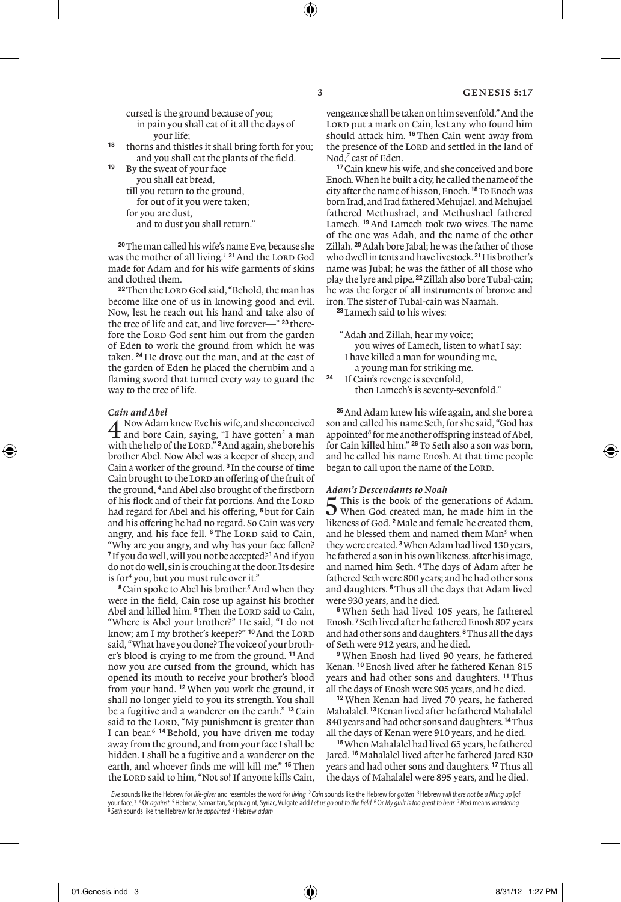cursed is the ground because of you; in pain you shall eat of it all the days of

your life;

- **<sup>18</sup>** thorns and thistles it shall bring forth for you; and you shall eat the plants of the field.
- By the sweat of your face you shall eat bread, till you return to the ground, for out of it you were taken; for you are dust, and to dust you shall return."

**<sup>20</sup>**The man called his wife's name Eve, because she was the mother of all living.<sup>1</sup> <sup>21</sup> And the LORD God made for Adam and for his wife garments of skins and clothed them.

<sup>22</sup>Then the LORD God said, "Behold, the man has become like one of us in knowing good and evil. Now, lest he reach out his hand and take also of the tree of life and eat, and live forever—" **<sup>23</sup>** therefore the LORD God sent him out from the garden of Eden to work the ground from which he was taken. **<sup>24</sup>** He drove out the man, and at the east of the garden of Eden he placed the cherubim and a flaming sword that turned every way to guard the way to the tree of life.

*Cain and Abel*<br>
Now Adam knew Eve his wife, and she conceived **4** Now Adam knew Eve his wife, and she conceived<br>and bore Cain, saying, "I have gotten<sup>2</sup> a man<br>with the halo of the Lam "24 ad again ab ham his with the help of the Lord." **<sup>2</sup>**And again, she bore his brother Abel. Now Abel was a keeper of sheep, and Cain a worker of the ground. **<sup>3</sup>** In the course of time Cain brought to the LORD an offering of the fruit of the ground, **<sup>4</sup>** and Abel also brought of the firstborn of his flock and of their fat portions. And the LORD had regard for Abel and his offering, **<sup>5</sup>**but for Cain and his offering he had no regard. So Cain was very angry, and his face fell. <sup>6</sup> The LORD said to Cain, "Why are you angry, and why has your face fallen? **<sup>7</sup>**If you do well, will you not be accepted?*<sup>3</sup>* And if you do not do well, sin is crouching at the door. Its desire is for*<sup>4</sup>* you, but you must rule over it."

**<sup>8</sup>**Cain spoke to Abel his brother.*<sup>5</sup>* And when they were in the field, Cain rose up against his brother Abel and killed him. <sup>9</sup>Then the LORD said to Cain, "Where is Abel your brother?" He said, "I do not know; am I my brother's keeper?" **<sup>10</sup>**And the Lord said, "What have you done? The voice of your brother's blood is crying to me from the ground. **<sup>11</sup>**And now you are cursed from the ground, which has opened its mouth to receive your brother's blood from your hand. **<sup>12</sup>**When you work the ground, it shall no longer yield to you its strength. You shall be a fugitive and a wanderer on the earth." **<sup>13</sup>**Cain said to the LORD, "My punishment is greater than I can bear.*<sup>6</sup>* **<sup>14</sup>** Behold, you have driven me today away from the ground, and from your face I shall be hidden. I shall be a fugitive and a wanderer on the earth, and whoever finds me will kill me." **<sup>15</sup>**Then the LORD said to him, "Not so! If anyone kills Cain,

vengeance shall be taken on him sevenfold." And the LORD put a mark on Cain, lest any who found him should attack him. **<sup>16</sup>** Then Cain went away from the presence of the LORD and settled in the land of Nod,<sup>7</sup> east of Eden.

**<sup>17</sup>**Cain knew his wife, and she conceived and bore Enoch. When he built a city, he called the name of the city after the name of his son, Enoch. **<sup>18</sup>**To Enoch was born Irad, and Irad fathered Mehujael, and Mehujael fathered Methushael, and Methushael fathered Lamech. **<sup>19</sup>**And Lamech took two wives. The name of the one was Adah, and the name of the other Zillah. **<sup>20</sup>**Adah bore Jabal; he was the father of those who dwell in tents and have livestock. **<sup>21</sup>**His brother's name was Jubal; he was the father of all those who play the lyre and pipe. **<sup>22</sup>**Zillah also bore Tubal-cain; he was the forger of all instruments of bronze and iron. The sister of Tubal-cain was Naamah.

**<sup>23</sup>**Lamech said to his wives:

- "Adah and Zillah, hear my voice; you wives of Lamech, listen to what I say: I have killed a man for wounding me, a young man for striking me.<br><sup>24</sup> If Cain's revenge is sevenfold
	- **<sup>24</sup>** If Cain's revenge is sevenfold, then Lamech's is seventy-sevenfold."

**<sup>25</sup>**And Adam knew his wife again, and she bore a son and called his name Seth, for she said, "God has appointed*<sup>8</sup>* for me another offspring instead of Abel, for Cain killed him." **<sup>26</sup>**To Seth also a son was born, and he called his name Enosh. At that time people began to call upon the name of the LORD.

### *Adam's Descendants to Noah*

5 This is the book of the generations of Adam.<br>When God created man, he made him in the likeness of God. **<sup>2</sup>**Male and female he created them, and he blessed them and named them Man*<sup>9</sup>* when they were created. **<sup>3</sup>**When Adam had lived 130 years, he fathered a son in his own likeness, after his image, and named him Seth. **<sup>4</sup>**The days of Adam after he fathered Seth were 800 years; and he had other sons and daughters. **<sup>5</sup>**Thus all the days that Adam lived were 930 years, and he died.

**<sup>6</sup>** When Seth had lived 105 years, he fathered Enosh. **<sup>7</sup>**Seth lived after he fathered Enosh 807 years and had other sons and daughters. **<sup>8</sup>**Thus all the days of Seth were 912 years, and he died.

**<sup>9</sup>** When Enosh had lived 90 years, he fathered Kenan. **<sup>10</sup>**Enosh lived after he fathered Kenan 815 years and had other sons and daughters. **<sup>11</sup>** Thus all the days of Enosh were 905 years, and he died.

**<sup>12</sup>** When Kenan had lived 70 years, he fathered Mahalalel. **<sup>13</sup>**Kenan lived after he fathered Mahalalel 840 years and had other sons and daughters. **<sup>14</sup>**Thus all the days of Kenan were 910 years, and he died.

**<sup>15</sup>**When Mahalalel had lived 65 years, he fathered Jared. **<sup>16</sup>**Mahalalel lived after he fathered Jared 830 years and had other sons and daughters. **<sup>17</sup>**Thus all the days of Mahalalel were 895 years, and he died.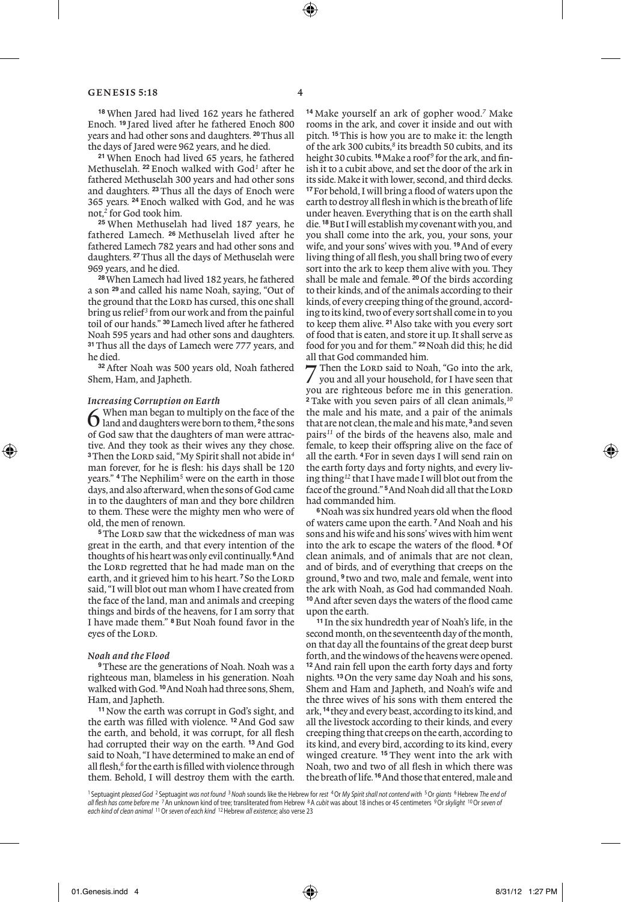**<sup>18</sup>** When Jared had lived 162 years he fathered Enoch. **<sup>19</sup>** Jared lived after he fathered Enoch 800 years and had other sons and daughters. **<sup>20</sup>**Thus all the days of Jared were 962 years, and he died.

**<sup>21</sup>** When Enoch had lived 65 years, he fathered Methuselah. **<sup>22</sup>** Enoch walked with God*<sup>1</sup>* after he fathered Methuselah 300 years and had other sons and daughters. **<sup>23</sup>**Thus all the days of Enoch were 365 years. **<sup>24</sup>** Enoch walked with God, and he was not,*<sup>2</sup>* for God took him.

**<sup>25</sup>** When Methuselah had lived 187 years, he fathered Lamech. **<sup>26</sup>** Methuselah lived after he fathered Lamech 782 years and had other sons and daughters. **<sup>27</sup>**Thus all the days of Methuselah were 969 years, and he died.

**<sup>28</sup>**When Lamech had lived 182 years, he fathered a son **<sup>29</sup>** and called his name Noah, saying, "Out of the ground that the LORD has cursed, this one shall bring us relief*<sup>3</sup>* from our work and from the painful toil of our hands." **<sup>30</sup>**Lamech lived after he fathered Noah 595 years and had other sons and daughters. **<sup>31</sup>**Thus all the days of Lamech were 777 years, and he died.

**<sup>32</sup>**After Noah was 500 years old, Noah fathered Shem, Ham, and Japheth.

*Increasing Corruption on Earth* 6 When man began to multiply on the face of the land and daughters were born to them, **<sup>2</sup>**the sons of God saw that the daughters of man were attractive. And they took as their wives any they chose. <sup>3</sup>Then the LORD said, "My Spirit shall not abide in<sup>4</sup> man forever, for he is flesh: his days shall be 120 years." **<sup>4</sup>**The Nephilim*<sup>5</sup>* were on the earth in those days, and also afterward, when the sons of God came in to the daughters of man and they bore children to them. These were the mighty men who were of old, the men of renown.

<sup>5</sup>The LORD saw that the wickedness of man was great in the earth, and that every intention of the thoughts of his heart was only evil continually. **<sup>6</sup>**And the LORD regretted that he had made man on the earth, and it grieved him to his heart.<sup>7</sup> So the LORD said, "I will blot out man whom I have created from the face of the land, man and animals and creeping things and birds of the heavens, for I am sorry that I have made them." **<sup>8</sup>**But Noah found favor in the eyes of the LORD.

#### *Noah and the Flood*

**<sup>9</sup>**These are the generations of Noah. Noah was a righteous man, blameless in his generation. Noah walked with God. **<sup>10</sup>**And Noah had three sons, Shem, Ham, and Japheth.

**<sup>11</sup>**Now the earth was corrupt in God's sight, and the earth was filled with violence. **<sup>12</sup>**And God saw the earth, and behold, it was corrupt, for all flesh had corrupted their way on the earth. **<sup>13</sup>**And God said to Noah, "I have determined to make an end of all flesh,*<sup>6</sup>* for the earth is filled with violence through them. Behold, I will destroy them with the earth.

**<sup>14</sup>** Make yourself an ark of gopher wood.*<sup>7</sup>* Make rooms in the ark, and cover it inside and out with pitch. **<sup>15</sup>**This is how you are to make it: the length of the ark 300 cubits,<sup>8</sup> its breadth 50 cubits, and its height 30 cubits. **<sup>16</sup>**Make a roof*<sup>9</sup>* for the ark, and finish it to a cubit above, and set the door of the ark in its side. Make it with lower, second, and third decks. **<sup>17</sup>**For behold, I will bring a flood of waters upon the earth to destroy all flesh in which is the breath of life under heaven. Everything that is on the earth shall die. **<sup>18</sup>**But I will establish my covenant with you, and you shall come into the ark, you, your sons, your wife, and your sons' wives with you. **<sup>19</sup>**And of every living thing of all flesh, you shall bring two of every sort into the ark to keep them alive with you. They shall be male and female. **<sup>20</sup>**Of the birds according to their kinds, and of the animals according to their kinds, of every creeping thing of the ground, according to its kind, two of every sort shall come in to you to keep them alive. **<sup>21</sup>**Also take with you every sort of food that is eaten, and store it up. It shall serve as food for you and for them." **<sup>22</sup>**Noah did this; he did all that God commanded him.

Then the LORD said to Noah, "Go into the ark, you and all your household, for I have seen that you are righteous before me in this generation. **<sup>2</sup>** Take with you seven pairs of all clean animals,*<sup>10</sup>* the male and his mate, and a pair of the animals that are not clean, the male and his mate, **<sup>3</sup>**and seven pairs*<sup>11</sup>* of the birds of the heavens also, male and female, to keep their offspring alive on the face of all the earth. **<sup>4</sup>**For in seven days I will send rain on the earth forty days and forty nights, and every living thing*<sup>12</sup>* that I have made I will blot out from the face of the ground."<sup>5</sup> And Noah did all that the LORD had commanded him.

**<sup>6</sup>**Noah was six hundred years old when the flood of waters came upon the earth. **<sup>7</sup>**And Noah and his sons and his wife and his sons' wives with him went into the ark to escape the waters of the flood. **<sup>8</sup>** Of clean animals, and of animals that are not clean, and of birds, and of everything that creeps on the ground, **<sup>9</sup>** two and two, male and female, went into the ark with Noah, as God had commanded Noah. **<sup>10</sup>**And after seven days the waters of the flood came upon the earth.

**<sup>11</sup>** In the six hundredth year of Noah's life, in the second month, on the seventeenth day of the month, on that day all the fountains of the great deep burst forth, and the windows of the heavens were opened. **<sup>12</sup>**And rain fell upon the earth forty days and forty nights. **<sup>13</sup>**On the very same day Noah and his sons, Shem and Ham and Japheth, and Noah's wife and the three wives of his sons with them entered the ark, **<sup>14</sup>**they and every beast, according to its kind, and all the livestock according to their kinds, and every creeping thing that creeps on the earth, according to its kind, and every bird, according to its kind, every winged creature. **<sup>15</sup>** They went into the ark with Noah, two and two of all flesh in which there was the breath of life. **<sup>16</sup>**And those that entered, male and

<sup>1</sup> Septuagint *pleased God* <sup>2</sup> Septuagint *was not found* <sup>3</sup>*Noah* sounds like the Hebrew for *rest* 4Or *My Spirit shall not contend with* 5Or *giants* 6Hebrew *The end of all flesh has come before me* 7An unknown kind of tree; transliterated from Hebrew 8A *cubit* was about 18 inches or 45 centimeters 9Or *skylight* 10Or *seven of each kind of clean animal* 11Or *seven of each kind* 12Hebrew *all existence*; also verse 23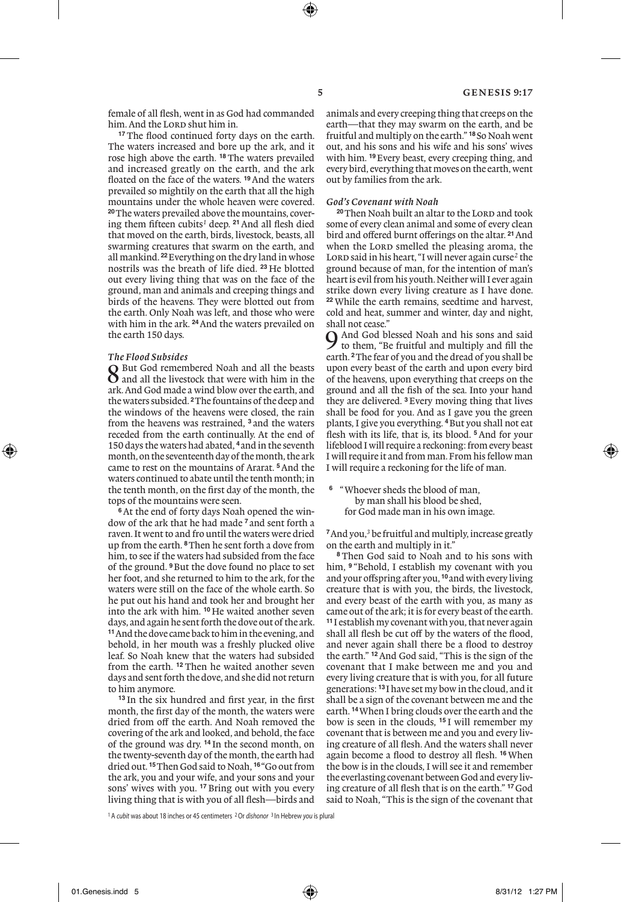female of all flesh, went in as God had commanded him. And the LORD shut him in.

**<sup>17</sup>** The flood continued forty days on the earth. The waters increased and bore up the ark, and it rose high above the earth. **<sup>18</sup>** The waters prevailed and increased greatly on the earth, and the ark floated on the face of the waters. **<sup>19</sup>**And the waters prevailed so mightily on the earth that all the high mountains under the whole heaven were covered. **20**The waters prevailed above the mountains, covering them fifteen cubits*<sup>1</sup>* deep. **<sup>21</sup>**And all flesh died that moved on the earth, birds, livestock, beasts, all swarming creatures that swarm on the earth, and all mankind. **<sup>22</sup>**Everything on the dry land in whose nostrils was the breath of life died. **<sup>23</sup>** He blotted out every living thing that was on the face of the ground, man and animals and creeping things and birds of the heavens. They were blotted out from the earth. Only Noah was left, and those who were with him in the ark. **<sup>24</sup>**And the waters prevailed on the earth 150 days.

## *The Flood Subsides*

8 But God remembered Noah and all the beasts<br>8 and all the livestock that were with him in the<br>and the little with a with a with ark. And God made a wind blow over the earth, and the waters subsided. **<sup>2</sup>**The fountains of the deep and the windows of the heavens were closed, the rain from the heavens was restrained, **<sup>3</sup>** and the waters receded from the earth continually. At the end of 150 days the waters had abated, **<sup>4</sup>**and in the seventh month, on the seventeenth day of the month, the ark came to rest on the mountains of Ararat. **<sup>5</sup>**And the waters continued to abate until the tenth month; in the tenth month, on the first day of the month, the tops of the mountains were seen.

**6**At the end of forty days Noah opened the window of the ark that he had made **<sup>7</sup>** and sent forth a raven. It went to and fro until the waters were dried up from the earth. **<sup>8</sup>**Then he sent forth a dove from him, to see if the waters had subsided from the face of the ground. **<sup>9</sup>**But the dove found no place to set her foot, and she returned to him to the ark, for the waters were still on the face of the whole earth. So he put out his hand and took her and brought her into the ark with him. **<sup>10</sup>** He waited another seven days, and again he sent forth the dove out of the ark. **<sup>11</sup>**And the dove came back to him in the evening, and behold, in her mouth was a freshly plucked olive leaf. So Noah knew that the waters had subsided from the earth. **<sup>12</sup>** Then he waited another seven days and sent forth the dove, and she did not return to him anymore.

**<sup>13</sup>** In the six hundred and first year, in the first month, the first day of the month, the waters were dried from off the earth. And Noah removed the covering of the ark and looked, and behold, the face of the ground was dry. **<sup>14</sup>** In the second month, on the twenty-seventh day of the month, the earth had dried out. **<sup>15</sup>**Then God said to Noah, **<sup>16</sup>** "Go out from the ark, you and your wife, and your sons and your sons' wives with you. **<sup>17</sup>** Bring out with you every living thing that is with you of all flesh—birds and animals and every creeping thing that creeps on the earth—that they may swarm on the earth, and be fruitful and multiply on the earth." **<sup>18</sup>** So Noah went out, and his sons and his wife and his sons' wives with him. **<sup>19</sup>**Every beast, every creeping thing, and every bird, everything that moves on the earth, went out by families from the ark.

#### *God's Covenant with Noah*

<sup>20</sup>Then Noah built an altar to the LORD and took some of every clean animal and some of every clean bird and offered burnt offerings on the altar. **<sup>21</sup>**And when the LORD smelled the pleasing aroma, the Lord said in his heart, "I will never again curse<sup>2</sup> the ground because of man, for the intention of man's heart is evil from his youth. Neither will I ever again strike down every living creature as I have done. **<sup>22</sup>** While the earth remains, seedtime and harvest, cold and heat, summer and winter, day and night,

shall not cease." 9 And God blessed Noah and his sons and said to them, "Be fruitful and multiply and fill the earth. **<sup>2</sup>**The fear of you and the dread of you shall be upon every beast of the earth and upon every bird of the heavens, upon everything that creeps on the ground and all the fish of the sea. Into your hand they are delivered. **<sup>3</sup>**Every moving thing that lives shall be food for you. And as I gave you the green plants, I give you everything. **<sup>4</sup>**But you shall not eat flesh with its life, that is, its blood. **<sup>5</sup>**And for your lifeblood I will require a reckoning: from every beast I will require it and from man. From his fellow man I will require a reckoning for the life of man.

**<sup>6</sup>** "Whoever sheds the blood of man, by man shall his blood be shed, for God made man in his own image.

**<sup>7</sup>**And you,*<sup>3</sup>* be fruitful and multiply, increase greatly on the earth and multiply in it."

**<sup>8</sup>** Then God said to Noah and to his sons with him, <sup>9</sup> "Behold, I establish my covenant with you and your offspring after you, **<sup>10</sup>**and with every living creature that is with you, the birds, the livestock, and every beast of the earth with you, as many as came out of the ark; it is for every beast of the earth. **<sup>11</sup>** I establish my covenant with you, that never again shall all flesh be cut off by the waters of the flood, and never again shall there be a flood to destroy the earth." **<sup>12</sup>**And God said, "This is the sign of the covenant that I make between me and you and every living creature that is with you, for all future generations: **<sup>13</sup>** I have set my bow in the cloud, and it shall be a sign of the covenant between me and the earth. **<sup>14</sup>**When I bring clouds over the earth and the bow is seen in the clouds, **<sup>15</sup>** I will remember my covenant that is between me and you and every living creature of all flesh. And the waters shall never again become a flood to destroy all flesh. **<sup>16</sup>** When the bow is in the clouds, I will see it and remember the everlasting covenant between God and every living creature of all flesh that is on the earth." **<sup>17</sup>**God said to Noah, "This is the sign of the covenant that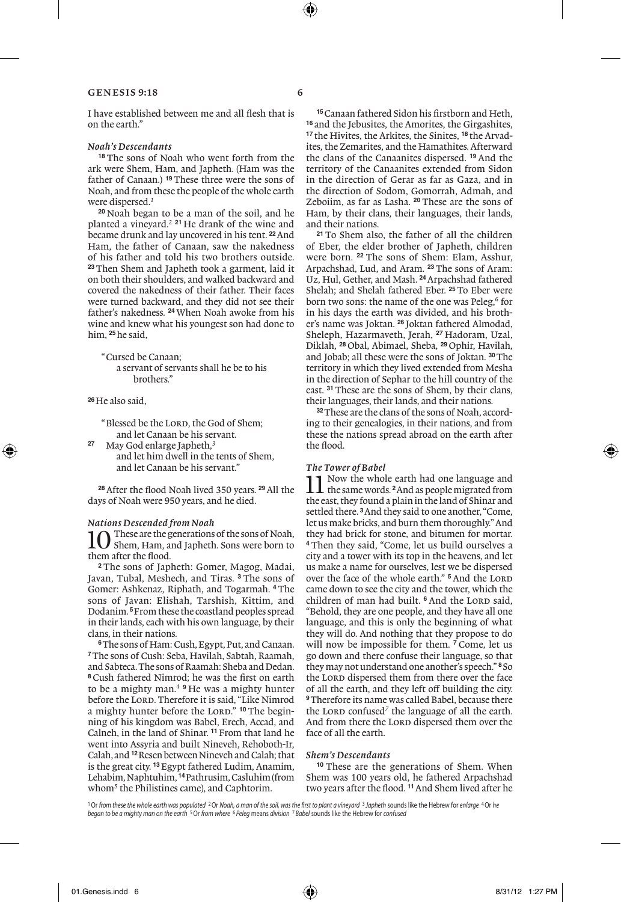I have established between me and all flesh that is on the earth."

# *Noah's Descendants*

**<sup>18</sup>** The sons of Noah who went forth from the ark were Shem, Ham, and Japheth. (Ham was the father of Canaan.) **<sup>19</sup>** These three were the sons of Noah, and from these the people of the whole earth were dispersed.*<sup>1</sup>*

**<sup>20</sup>** Noah began to be a man of the soil, and he planted a vineyard.*<sup>2</sup>* **<sup>21</sup>** He drank of the wine and became drunk and lay uncovered in his tent. **<sup>22</sup>**And Ham, the father of Canaan, saw the nakedness of his father and told his two brothers outside. **<sup>23</sup>** Then Shem and Japheth took a garment, laid it on both their shoulders, and walked backward and covered the nakedness of their father. Their faces were turned backward, and they did not see their father's nakedness. **<sup>24</sup>** When Noah awoke from his wine and knew what his youngest son had done to him, **<sup>25</sup>**he said,

"Cursed be Canaan; a servant of servants shall he be to his brothers."

**<sup>26</sup>**He also said,

"Blessed be the LORD, the God of Shem; and let Canaan be his servant.

**<sup>27</sup>** May God enlarge Japheth,*<sup>3</sup>* and let him dwell in the tents of Shem, and let Canaan be his servant."

**<sup>28</sup>**After the flood Noah lived 350 years. **<sup>29</sup>**All the days of Noah were 950 years, and he died.

*Nations Descended from Noah* 10 These are the generations of the sons of Noah,<br>them, Ham, and Japheth. Sons were born to them after the flood.

**<sup>2</sup>** The sons of Japheth: Gomer, Magog, Madai, Javan, Tubal, Meshech, and Tiras. **<sup>3</sup>** The sons of Gomer: Ashkenaz, Riphath, and Togarmah. **<sup>4</sup>** The sons of Javan: Elishah, Tarshish, Kittim, and Dodanim. **<sup>5</sup>**From these the coastland peoples spread in their lands, each with his own language, by their clans, in their nations.

**6**The sons of Ham: Cush, Egypt, Put, and Canaan. **<sup>7</sup>**The sons of Cush: Seba, Havilah, Sabtah, Raamah, and Sabteca. The sons of Raamah: Sheba and Dedan. **<sup>8</sup>** Cush fathered Nimrod; he was the first on earth to be a mighty man.*<sup>4</sup>* **<sup>9</sup>** He was a mighty hunter before the LORD. Therefore it is said, "Like Nimrod a mighty hunter before the LORD." <sup>10</sup> The beginning of his kingdom was Babel, Erech, Accad, and Calneh, in the land of Shinar. **<sup>11</sup>**From that land he went into Assyria and built Nineveh, Rehoboth-Ir, Calah, and **<sup>12</sup>**Resen between Nineveh and Calah; that is the great city. **<sup>13</sup>**Egypt fathered Ludim, Anamim, Lehabim, Naphtuhim, **<sup>14</sup>**Pathrusim, Casluhim (from whom*<sup>5</sup>* the Philistines came), and Caphtorim.

**15**Canaan fathered Sidon his firstborn and Heth, **<sup>16</sup>** and the Jebusites, the Amorites, the Girgashites, **<sup>17</sup>** the Hivites, the Arkites, the Sinites, **<sup>18</sup>** the Arvadites, the Zemarites, and the Hamathites. Afterward the clans of the Canaanites dispersed. **<sup>19</sup>** And the territory of the Canaanites extended from Sidon in the direction of Gerar as far as Gaza, and in the direction of Sodom, Gomorrah, Admah, and Zeboiim, as far as Lasha. **<sup>20</sup>** These are the sons of Ham, by their clans, their languages, their lands, and their nations.

**<sup>21</sup>** To Shem also, the father of all the children of Eber, the elder brother of Japheth, children were born. **<sup>22</sup>** The sons of Shem: Elam, Asshur, Arpachshad, Lud, and Aram. **<sup>23</sup>** The sons of Aram: Uz, Hul, Gether, and Mash. **<sup>24</sup>**Arpachshad fathered Shelah; and Shelah fathered Eber. **<sup>25</sup>** To Eber were born two sons: the name of the one was Peleg,*<sup>6</sup>* for in his days the earth was divided, and his brother's name was Joktan. **<sup>26</sup>** Joktan fathered Almodad, Sheleph, Hazarmaveth, Jerah, **<sup>27</sup>** Hadoram, Uzal, Diklah, **<sup>28</sup>** Obal, Abimael, Sheba, **<sup>29</sup>** Ophir, Havilah, and Jobab; all these were the sons of Joktan. **<sup>30</sup>**The territory in which they lived extended from Mesha in the direction of Sephar to the hill country of the east. **<sup>31</sup>** These are the sons of Shem, by their clans, their languages, their lands, and their nations.

**32**These are the clans of the sons of Noah, according to their genealogies, in their nations, and from these the nations spread abroad on the earth after the flood.

### *The Tower of Babel*

Now the whole earth had one language and the same words. **<sup>2</sup>**And as people migrated from the east, they found a plain in the land of Shinar and settled there. **<sup>3</sup>**And they said to one another, "Come, let us make bricks, and burn them thoroughly." And they had brick for stone, and bitumen for mortar. **<sup>4</sup>** Then they said, "Come, let us build ourselves a city and a tower with its top in the heavens, and let us make a name for ourselves, lest we be dispersed over the face of the whole earth." <sup>5</sup> And the LORD came down to see the city and the tower, which the children of man had built. <sup>6</sup> And the LORD said, "Behold, they are one people, and they have all one language, and this is only the beginning of what they will do. And nothing that they propose to do will now be impossible for them. **<sup>7</sup>** Come, let us go down and there confuse their language, so that they may not understand one another's speech." **<sup>8</sup>** So the LORD dispersed them from there over the face of all the earth, and they left off building the city. **<sup>9</sup>**Therefore its name was called Babel, because there the Lord confused<sup>7</sup> the language of all the earth. And from there the LORD dispersed them over the face of all the earth.

### *Shem's Descendants*

**<sup>10</sup>** These are the generations of Shem. When Shem was 100 years old, he fathered Arpachshad two years after the flood. **<sup>11</sup>**And Shem lived after he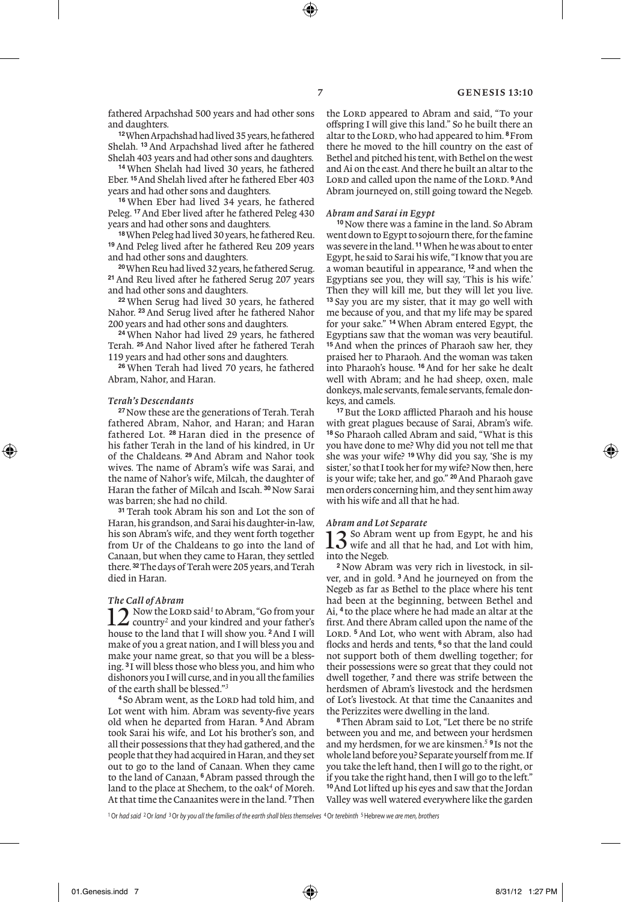fathered Arpachshad 500 years and had other sons and daughters.

**<sup>12</sup>**When Arpachshad had lived 35 years, he fathered Shelah. **<sup>13</sup>** And Arpachshad lived after he fathered Shelah 403 years and had other sons and daughters.

**<sup>14</sup>** When Shelah had lived 30 years, he fathered Eber. **<sup>15</sup>**And Shelah lived after he fathered Eber 403 years and had other sons and daughters.

**<sup>16</sup>** When Eber had lived 34 years, he fathered Peleg. **<sup>17</sup>**And Eber lived after he fathered Peleg 430 years and had other sons and daughters.

**18**When Peleg had lived 30 years, he fathered Reu. **<sup>19</sup>** And Peleg lived after he fathered Reu 209 years and had other sons and daughters.

**20**When Reu had lived 32 years, he fathered Serug. **<sup>21</sup>**And Reu lived after he fathered Serug 207 years and had other sons and daughters.

**<sup>22</sup>** When Serug had lived 30 years, he fathered Nahor. **<sup>23</sup>**And Serug lived after he fathered Nahor 200 years and had other sons and daughters.

**<sup>24</sup>** When Nahor had lived 29 years, he fathered Terah. **<sup>25</sup>** And Nahor lived after he fathered Terah 119 years and had other sons and daughters.

**<sup>26</sup>** When Terah had lived 70 years, he fathered Abram, Nahor, and Haran.

#### *Terah's Descendants*

**<sup>27</sup>**Now these are the generations of Terah. Terah fathered Abram, Nahor, and Haran; and Haran fathered Lot. **<sup>28</sup>** Haran died in the presence of his father Terah in the land of his kindred, in Ur of the Chaldeans. **<sup>29</sup>** And Abram and Nahor took wives. The name of Abram's wife was Sarai, and the name of Nahor's wife, Milcah, the daughter of Haran the father of Milcah and Iscah. **<sup>30</sup>**Now Sarai was barren; she had no child.

**<sup>31</sup>** Terah took Abram his son and Lot the son of Haran, his grandson, and Sarai his daughter-in-law, his son Abram's wife, and they went forth together from Ur of the Chaldeans to go into the land of Canaan, but when they came to Haran, they settled there. **<sup>32</sup>**The days of Terah were 205 years, and Terah died in Haran.

### *The Call of Abram*

12 Now the Lord said<sup>1</sup> to Abram, "Go from your<br>country<sup>2</sup> and your kindred and your father's country*<sup>2</sup>* and your kindred and your father's house to the land that I will show you. **<sup>2</sup>**And I will make of you a great nation, and I will bless you and make your name great, so that you will be a blessing. **<sup>3</sup>** I will bless those who bless you, and him who dishonors you I will curse, and in you all the families of the earth shall be blessed."*<sup>3</sup>*

<sup>4</sup> So Abram went, as the LORD had told him, and Lot went with him. Abram was seventy-five years old when he departed from Haran. **<sup>5</sup>** And Abram took Sarai his wife, and Lot his brother's son, and all their possessions that they had gathered, and the people that they had acquired in Haran, and they set out to go to the land of Canaan. When they came to the land of Canaan, **<sup>6</sup>**Abram passed through the land to the place at Shechem, to the oak<sup>4</sup> of Moreh. At that time the Canaanites were in the land. **<sup>7</sup>**Then

the Lord appeared to Abram and said, "To your offspring I will give this land." So he built there an altar to the LORD, who had appeared to him. <sup>8</sup> From there he moved to the hill country on the east of Bethel and pitched his tent, with Bethel on the west and Ai on the east. And there he built an altar to the LORD and called upon the name of the LORD. <sup>9</sup>And Abram journeyed on, still going toward the Negeb.

#### *Abram and Sarai in Egypt*

**<sup>10</sup>**Now there was a famine in the land. So Abram went down to Egypt to sojourn there, for the famine was severe in the land. **<sup>11</sup>**When he was about to enter Egypt, he said to Sarai his wife, "I know that you are a woman beautiful in appearance, **<sup>12</sup>** and when the Egyptians see you, they will say, 'This is his wife.' Then they will kill me, but they will let you live. **<sup>13</sup>** Say you are my sister, that it may go well with me because of you, and that my life may be spared for your sake." **<sup>14</sup>** When Abram entered Egypt, the Egyptians saw that the woman was very beautiful. **<sup>15</sup>** And when the princes of Pharaoh saw her, they praised her to Pharaoh. And the woman was taken into Pharaoh's house. **<sup>16</sup>** And for her sake he dealt well with Abram; and he had sheep, oxen, male donkeys, male servants, female servants, female donkeys, and camels.

<sup>17</sup> But the LORD afflicted Pharaoh and his house with great plagues because of Sarai, Abram's wife. **<sup>18</sup>** So Pharaoh called Abram and said, "What is this you have done to me? Why did you not tell me that she was your wife? **<sup>19</sup>** Why did you say, 'She is my sister,' so that I took her for my wife? Now then, here is your wife; take her, and go." **<sup>20</sup>**And Pharaoh gave men orders concerning him, and they sent him away with his wife and all that he had.

#### *Abram and Lot Separate*

13 So Abram went up from Egypt, he and his wife and all that he had, and Lot with him, into the Negeb.

**<sup>2</sup>** Now Abram was very rich in livestock, in silver, and in gold. **<sup>3</sup>** And he journeyed on from the Negeb as far as Bethel to the place where his tent had been at the beginning, between Bethel and Ai, **<sup>4</sup>** to the place where he had made an altar at the first. And there Abram called upon the name of the LORD. <sup>5</sup> And Lot, who went with Abram, also had flocks and herds and tents, **<sup>6</sup>** so that the land could not support both of them dwelling together; for their possessions were so great that they could not dwell together, **<sup>7</sup>** and there was strife between the herdsmen of Abram's livestock and the herdsmen of Lot's livestock. At that time the Canaanites and the Perizzites were dwelling in the land.

**<sup>8</sup>**Then Abram said to Lot, "Let there be no strife between you and me, and between your herdsmen and my herdsmen, for we are kinsmen.*<sup>5</sup>* **<sup>9</sup>** Is not the whole land before you? Separate yourself from me. If you take the left hand, then I will go to the right, or if you take the right hand, then I will go to the left." **<sup>10</sup>**And Lot lifted up his eyes and saw that the Jordan Valley was well watered everywhere like the garden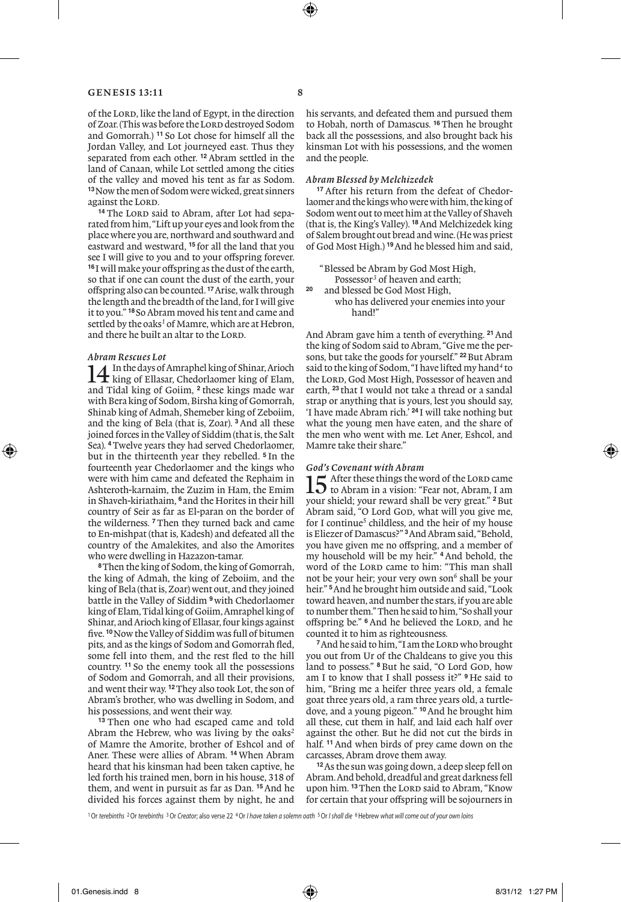of the LORD, like the land of Egypt, in the direction of Zoar. (This was before the Lord destroyed Sodom and Gomorrah.) **<sup>11</sup>** So Lot chose for himself all the Jordan Valley, and Lot journeyed east. Thus they separated from each other. **<sup>12</sup>**Abram settled in the land of Canaan, while Lot settled among the cities of the valley and moved his tent as far as Sodom. **<sup>13</sup>**Now the men of Sodom were wicked, great sinners against the LORD.

<sup>14</sup> The Lord said to Abram, after Lot had separated from him, "Lift up your eyes and look from the place where you are, northward and southward and eastward and westward, **<sup>15</sup>** for all the land that you see I will give to you and to your offspring forever. **<sup>16</sup>** I will make your offspring as the dust of the earth, so that if one can count the dust of the earth, your offspring also can be counted. **<sup>17</sup>**Arise, walk through the length and the breadth of the land, for I will give it to you." **<sup>18</sup>** So Abram moved his tent and came and settled by the oaks<sup>1</sup> of Mamre, which are at Hebron, and there he built an altar to the LORD.

#### *Abram Rescues Lot*

14In the days of Amraphel king of Shinar, Arioch king of Ellasar, Chedorlaomer king of Elam, and Tidal king of Goiim, **<sup>2</sup>** these kings made war with Bera king of Sodom, Birsha king of Gomorrah, Shinab king of Admah, Shemeber king of Zeboiim, and the king of Bela (that is, Zoar). **<sup>3</sup>**And all these joined forces in the Valley of Siddim (that is, the Salt Sea). **<sup>4</sup>**Twelve years they had served Chedorlaomer, but in the thirteenth year they rebelled. **<sup>5</sup>** In the fourteenth year Chedorlaomer and the kings who were with him came and defeated the Rephaim in Ashteroth-karnaim, the Zuzim in Ham, the Emim in Shaveh-kiriathaim, **<sup>6</sup>** and the Horites in their hill country of Seir as far as El-paran on the border of the wilderness. **<sup>7</sup>**Then they turned back and came to En-mishpat (that is, Kadesh) and defeated all the country of the Amalekites, and also the Amorites who were dwelling in Hazazon-tamar.

**<sup>8</sup>**Then the king of Sodom, the king of Gomorrah, the king of Admah, the king of Zeboiim, and the king of Bela (that is, Zoar) went out, and they joined battle in the Valley of Siddim **<sup>9</sup>**with Chedorlaomer king of Elam, Tidal king of Goiim, Amraphel king of Shinar, and Arioch king of Ellasar, four kings against five. **<sup>10</sup>**Now the Valley of Siddim was full of bitumen pits, and as the kings of Sodom and Gomorrah fled, some fell into them, and the rest fled to the hill country. **<sup>11</sup>** So the enemy took all the possessions of Sodom and Gomorrah, and all their provisions, and went their way. **<sup>12</sup>**They also took Lot, the son of Abram's brother, who was dwelling in Sodom, and his possessions, and went their way.

**<sup>13</sup>** Then one who had escaped came and told Abram the Hebrew, who was living by the oaks*<sup>2</sup>* of Mamre the Amorite, brother of Eshcol and of Aner. These were allies of Abram. **<sup>14</sup>** When Abram heard that his kinsman had been taken captive, he led forth his trained men, born in his house, 318 of them, and went in pursuit as far as Dan. **<sup>15</sup>**And he divided his forces against them by night, he and his servants, and defeated them and pursued them to Hobah, north of Damascus. **<sup>16</sup>**Then he brought back all the possessions, and also brought back his kinsman Lot with his possessions, and the women and the people.

# *Abram Blessed by Melchizedek*

**<sup>17</sup>** After his return from the defeat of Chedorlaomer and the kings who were with him, the king of Sodom went out to meet him at the Valley of Shaveh (that is, the King's Valley). **<sup>18</sup>**And Melchizedek king of Salem brought out bread and wine. (He was priest of God Most High.) **<sup>19</sup>**And he blessed him and said,

"Blessed be Abram by God Most High, Possessor<sup>3</sup> of heaven and earth; **<sup>20</sup>** and blessed be God Most High, who has delivered your enemies into your hand!"

And Abram gave him a tenth of everything. **<sup>21</sup>**And the king of Sodom said to Abram, "Give me the persons, but take the goods for yourself." **<sup>22</sup>**But Abram said to the king of Sodom, "I have lifted my hand*<sup>4</sup>* to the LORD, God Most High, Possessor of heaven and earth, **<sup>23</sup>** that I would not take a thread or a sandal strap or anything that is yours, lest you should say, 'I have made Abram rich.' **<sup>24</sup>** I will take nothing but what the young men have eaten, and the share of the men who went with me. Let Aner, Eshcol, and Mamre take their share."

*God's Covenant with Abram*<br>**1**  $\Gamma$  After these things the word of the LORD came 15 After these things the word of the LORD came<br>to Abram, I am a vision: "Fear not, Abram, I am your shield; your reward shall be very great." **<sup>2</sup>**But Abram said, "O Lord God, what will you give me, for I continue<sup>5</sup> childless, and the heir of my house is Eliezer of Damascus?" **<sup>3</sup>**And Abram said, "Behold, you have given me no offspring, and a member of my household will be my heir." **<sup>4</sup>** And behold, the word of the LORD came to him: "This man shall not be your heir; your very own son<sup>6</sup> shall be your heir." **<sup>5</sup>**And he brought him outside and said, "Look toward heaven, and number the stars, if you are able to number them." Then he said to him, "So shall your offspring be." <sup>6</sup> And he believed the LORD, and he counted it to him as righteousness.

<sup>7</sup> And he said to him, "I am the LORD who brought you out from Ur of the Chaldeans to give you this land to possess." <sup>8</sup> But he said, "O Lord God, how am I to know that I shall possess it?" **<sup>9</sup>** He said to him, "Bring me a heifer three years old, a female goat three years old, a ram three years old, a turtledove, and a young pigeon." **<sup>10</sup>**And he brought him all these, cut them in half, and laid each half over against the other. But he did not cut the birds in half. **<sup>11</sup>**And when birds of prey came down on the carcasses, Abram drove them away.

**<sup>12</sup>**As the sun was going down, a deep sleep fell on Abram. And behold, dreadful and great darkness fell upon him. <sup>13</sup> Then the LORD said to Abram, "Know for certain that your offspring will be sojourners in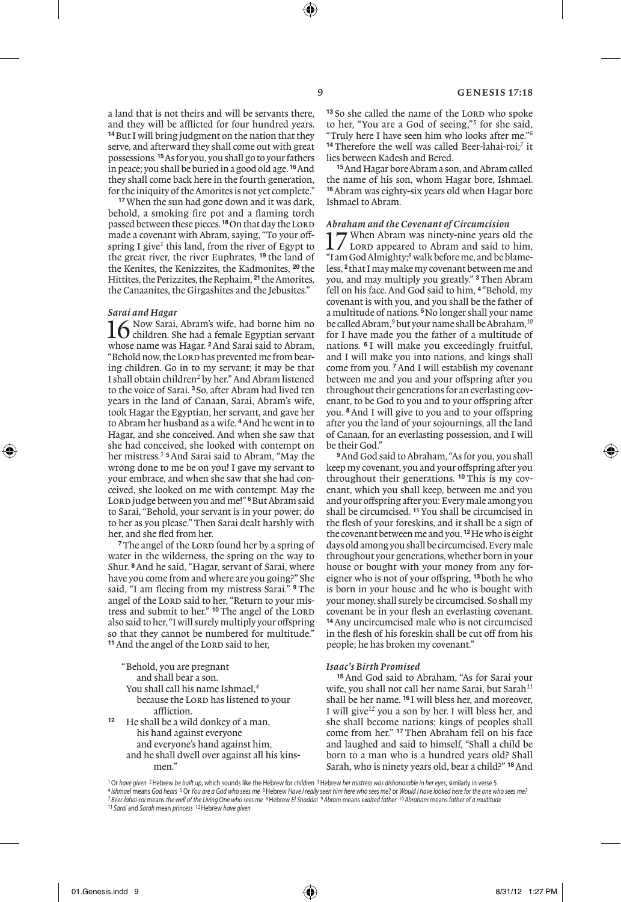a land that is not theirs and will be servants there, and they will be afflicted for four hundred years. **<sup>14</sup>**But I will bring judgment on the nation that they serve, and afterward they shall come out with great possessions. **<sup>15</sup>**As for you, you shall go to your fathers in peace; you shall be buried in a good old age. **<sup>16</sup>**And they shall come back here in the fourth generation, for the iniquity of the Amorites is not yet complete."

**<sup>17</sup>**When the sun had gone down and it was dark, behold, a smoking fire pot and a flaming torch passed between these pieces.<sup>18</sup>On that day the LORD made a covenant with Abram, saying, "To your offspring I give*<sup>1</sup>* this land, from the river of Egypt to the great river, the river Euphrates, **<sup>19</sup>** the land of the Kenites, the Kenizzites, the Kadmonites, **<sup>20</sup>** the Hittites, the Perizzites, the Rephaim, **<sup>21</sup>**the Amorites, the Canaanites, the Girgashites and the Jebusites."

### *Sarai and Hagar*

16 Now Sarai, Abram's wife, had borne him no<br>children. She had a female Egyptian servant whose name was Hagar. **<sup>2</sup>**And Sarai said to Abram, "Behold now, the LORD has prevented me from bearing children. Go in to my servant; it may be that I shall obtain children*<sup>2</sup>* by her." And Abram listened to the voice of Sarai. **<sup>3</sup>** So, after Abram had lived ten years in the land of Canaan, Sarai, Abram's wife, took Hagar the Egyptian, her servant, and gave her to Abram her husband as a wife. **<sup>4</sup>**And he went in to Hagar, and she conceived. And when she saw that she had conceived, she looked with contempt on her mistress.*<sup>3</sup>* **<sup>5</sup>**And Sarai said to Abram, "May the wrong done to me be on you! I gave my servant to your embrace, and when she saw that she had conceived, she looked on me with contempt. May the LORD judge between you and me!" <sup>6</sup>But Abram said to Sarai, "Behold, your servant is in your power; do to her as you please." Then Sarai dealt harshly with her, and she fled from her.

<sup>7</sup>The angel of the LORD found her by a spring of water in the wilderness, the spring on the way to Shur. **<sup>8</sup>**And he said, "Hagar, servant of Sarai, where have you come from and where are you going?" She said, "I am fleeing from my mistress Sarai." **<sup>9</sup>** The angel of the LORD said to her, "Return to your mistress and submit to her." <sup>10</sup> The angel of the LORD also said to her, "I will surely multiply your offspring so that they cannot be numbered for multitude." <sup>11</sup> And the angel of the LORD said to her,

"Behold, you are pregnant and shall bear a son. You shall call his name Ishmael,*<sup>4</sup>* because the LORD has listened to your affliction. **<sup>12</sup>** He shall be a wild donkey of a man, his hand against everyone and everyone's hand against him,

 and he shall dwell over against all his kinsmen."

<sup>13</sup> So she called the name of the LORD who spoke to her, "You are a God of seeing,"*<sup>5</sup>* for she said, "Truly here I have seen him who looks after me."*<sup>6</sup>* **<sup>14</sup>** Therefore the well was called Beer-lahai-roi;*<sup>7</sup>* it lies between Kadesh and Bered.

**<sup>15</sup>**And Hagar bore Abram a son, and Abram called the name of his son, whom Hagar bore, Ishmael. **<sup>16</sup>**Abram was eighty-six years old when Hagar bore Ishmael to Abram.

*Abraham and the Covenant of Circumcision*<br>**1 7** When Abram was ninety-nine years old the 17 When Abram was ninety-nine years old the<br>LORD appeared to Abram and said to him, "I am God Almighty;*<sup>8</sup>* walk before me, and be blameless, **<sup>2</sup>**that I may make my covenant between me and you, and may multiply you greatly." **<sup>3</sup>**Then Abram fell on his face. And God said to him, **<sup>4</sup>** "Behold, my covenant is with you, and you shall be the father of a multitude of nations. **<sup>5</sup>**No longer shall your name be called Abram,<sup>9</sup> but your name shall be Abraham,<sup>10</sup> for I have made you the father of a multitude of nations. **<sup>6</sup>** I will make you exceedingly fruitful, and I will make you into nations, and kings shall come from you. **<sup>7</sup>**And I will establish my covenant between me and you and your offspring after you throughout their generations for an everlasting covenant, to be God to you and to your offspring after you. **<sup>8</sup>**And I will give to you and to your offspring after you the land of your sojournings, all the land of Canaan, for an everlasting possession, and I will be their God.'

**<sup>9</sup>**And God said to Abraham, "As for you, you shall keep my covenant, you and your offspring after you throughout their generations. **<sup>10</sup>** This is my covenant, which you shall keep, between me and you and your offspring after you: Every male among you shall be circumcised. **<sup>11</sup>**You shall be circumcised in the flesh of your foreskins, and it shall be a sign of the covenant between me and you. **<sup>12</sup>**He who is eight days old among you shall be circumcised. Every male throughout your generations, whether born in your house or bought with your money from any foreigner who is not of your offspring, **<sup>13</sup>**both he who is born in your house and he who is bought with your money, shall surely be circumcised. So shall my covenant be in your flesh an everlasting covenant. **<sup>14</sup>**Any uncircumcised male who is not circumcised in the flesh of his foreskin shall be cut off from his people; he has broken my covenant."

# *Isaac's Birth Promised*

**<sup>15</sup>** And God said to Abraham, "As for Sarai your wife, you shall not call her name Sarai, but Sarah*<sup>11</sup>* shall be her name. **<sup>16</sup>** I will bless her, and moreover, I will give*<sup>12</sup>* you a son by her. I will bless her, and she shall become nations; kings of peoples shall come from her." **<sup>17</sup>** Then Abraham fell on his face and laughed and said to himself, "Shall a child be born to a man who is a hundred years old? Shall Sarah, who is ninety years old, bear a child?" **<sup>18</sup>**And

<sup>1</sup>Or *have given* 2Hebrew *be built up*, which sounds like the Hebrew for *children* 3Hebrew *her mistress was dishonorable in her eyes*; similarly in verse 5 <sup>4</sup>Ishmael means God hears <sup>5</sup> Or You are a God who sees me <sup>6</sup>Hebrew Have I really seen him here who sees me? or Would I have looked here for the one who sees mei<br><sup>7</sup> Beer-lahai-roi means the well of the Living One who se <sup>11</sup> *Sarai* and *Sarah* mean *princess* 12Hebrew *have given*